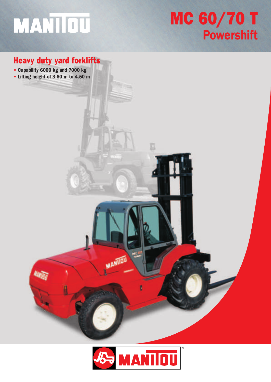# MANTIOU

## MC 60/70 T **Powershift**

#### Heavy duty yard forklifts

- Capability 6000 kg and 7000 kg
- Lifting height of 3.60 m to 4.50 m



MANIJOU

E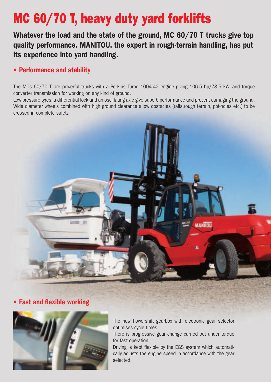### MC 60/70 T, heavy duty yard forklifts

Whatever the load and the state of the ground, MC 60/70 T trucks give top quality performance. MANITOU, the expert in rough-terrain handling, has put its experience into yard handling.

#### • Performance and stability

The MCs 60/70 T are powerful trucks with a Perkins Turbo 1004.42 engine giving 106.5 hp/78.5 kW, and torque converter transmission for working on any kind of ground.

Low pressure tyres, a differential lock and an oscillating axle give superb performance and prevent damaging the ground. Wide diameter wheels combined with high ground clearance allow obstacles (rails,rough terrain, pot-holes etc.) to be crossed in complete safety.



**Fast and flexible working** 



The new Powershift gearbox with electronic gear selector optimises cycle times.

There is progressive gear change carried out under torque for fast operation.

Driving is kept flexible by the EGS system which automatically adjusts the engine speed in accordance with the gear selected.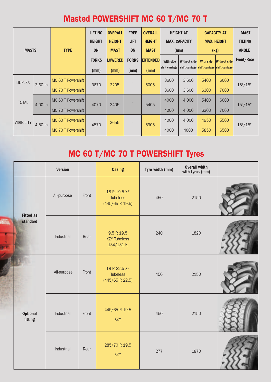#### Masted POWERSHIFT MC 60 T/MC 70 T

|                   |                   |                    | <b>LIFTING</b><br><b>HEIGHT</b> | <b>OVERALL</b><br><b>HEIGHT</b> | <b>FREE</b><br><b>LIFT</b> | <b>OVERALL</b><br><b>HEIGHT</b> |                | <b>HEIGHT AT</b><br><b>MAX. CAPACITY</b> |                                              | <b>CAPACITY AT</b><br><b>MAX. HEIGHT</b> | <b>MAST</b><br><b>TILTING</b> |
|-------------------|-------------------|--------------------|---------------------------------|---------------------------------|----------------------------|---------------------------------|----------------|------------------------------------------|----------------------------------------------|------------------------------------------|-------------------------------|
| <b>MASTS</b>      |                   | <b>TYPE</b>        | ON                              | <b>MAST</b>                     | <b>ON</b>                  | <b>MAST</b>                     |                | (mm)                                     |                                              | (kg)                                     | <b>ANGLE</b>                  |
|                   |                   |                    | <b>FORKS</b>                    | <b>LOWERED</b>                  | <b>FORKS</b>               | <b>EXTENDED</b>                 | With side      | Without side                             | <b>With side</b>                             | <b>Without side</b>                      | Front/Rear                    |
|                   |                   |                    | (mm)                            | (mm)                            | (mm)                       | (mm)                            | shift carriage |                                          | shift carriage shift carriage shift carriage |                                          |                               |
| <b>DUPLEX</b>     | 3.60 <sub>m</sub> | MC 60 T Powershift | 3670                            | 3205                            |                            | 5005                            | 3600           | 3.600                                    | 5400                                         | 6000                                     | $15^{\circ}/15^{\circ}$       |
|                   |                   | MC 70 T Powershift |                                 |                                 |                            |                                 | 3600           | 3.600                                    | 6300                                         | 7000                                     |                               |
| <b>TOTAL</b>      | 4.00 m            | MC 60 T Powershift | 4070                            | 3405                            |                            | 5405                            | 4000           | 4.000                                    | 5400                                         | 6000                                     | $15^{\circ}/15^{\circ}$       |
|                   |                   | MC 70 T Powershift |                                 |                                 |                            |                                 | 4000           | 4.000                                    | 6300                                         | 7000                                     |                               |
| <b>VISIBILITY</b> | 4.50 m            | MC 60 T Powershift | 4570                            | 3655                            | $\overline{\phantom{a}}$   | 5905                            | 4000           | 4.000                                    | 4950                                         | 5500                                     | $15^{\circ}/15^{\circ}$       |
|                   |                   | MC 70 T Powershift |                                 |                                 |                            |                                 | 4000           | 4000                                     | 5850                                         | 6500                                     |                               |

### MC 60 T/MC 70 T POWERSHIFT Tyres

|                              |                            | <b>Version</b> |                                                | <b>Casing</b>                                      | Tyre width (mm) | <b>Overall width</b><br>with tyres (mm) |  |
|------------------------------|----------------------------|----------------|------------------------------------------------|----------------------------------------------------|-----------------|-----------------------------------------|--|
|                              |                            | All-purpose    | Front                                          | 18 R 19.5 XF<br><b>Tubeless</b><br>(445/65 R 19.5) | 450             | 2150                                    |  |
| <b>Fitted as</b><br>standard | Industrial                 | Rear           | 9.5 R 19.5<br><b>XZY Tubeless</b><br>134/131 K | 240                                                | 1820            |                                         |  |
|                              |                            | All-purpose    | Front                                          | 18 R 22.5 XF<br><b>Tubeless</b><br>(445/65 R 22.5) | 450             | 2150                                    |  |
|                              | <b>Optional</b><br>fitting | Industrial     | Front                                          | 445/65 R 19.5<br>XZY                               | 450             | 2150                                    |  |
|                              |                            | Industrial     | Rear                                           | 285/70 R 19.5<br>XZY                               | 277             | 1870                                    |  |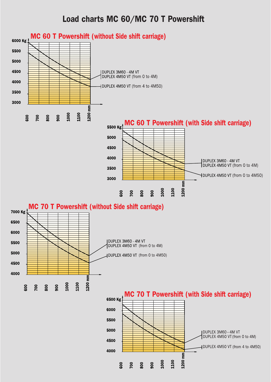#### Load charts MC 60/MC 70 T Powershift

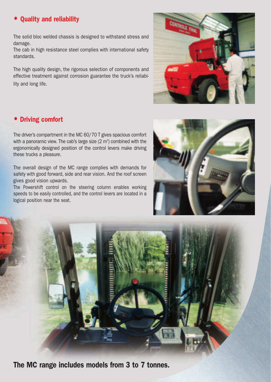#### • Quality and reliability

The solid bloc welded chassis is designed to withstand stress and damage.

The cab in high resistance steel complies with international safety standards.

The high quality design, the rigorous selection of components and effective treatment against corrosion guarantee the truck's reliability and long life.

#### • Driving comfort

The driver's compartment in the MC 60/70 T gives spacious comfort with a panoramic view. The cab's large size (2  $\mathrm{m}^{\mathrm{s}}$ ) combined with the ergonomically designed position of the control levers make driving these trucks a pleasure.

The overall design of the MC range complies with demands for safety with good forward, side and rear vision. And the roof screen gives good vision upwards.

The Powershift control on the steering column enables working speeds to be easily controlled, and the control levers are located in a logical position near the seat.







The MC range includes models from 3 to 7 tonnes.